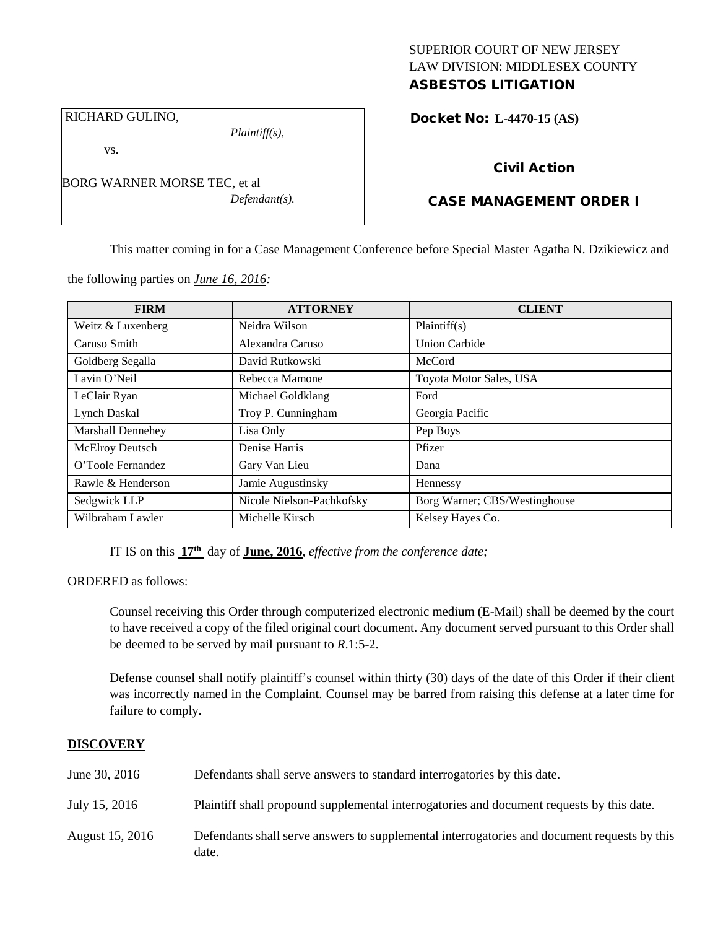## SUPERIOR COURT OF NEW JERSEY LAW DIVISION: MIDDLESEX COUNTY ASBESTOS LITIGATION

RICHARD GULINO,

vs.

*Plaintiff(s),*

*Defendant(s).*

Docket No: **L-4470-15 (AS)** 

# Civil Action

# CASE MANAGEMENT ORDER I

This matter coming in for a Case Management Conference before Special Master Agatha N. Dzikiewicz and

the following parties on *June 16, 2016:*

BORG WARNER MORSE TEC, et al

| <b>FIRM</b>            | <b>ATTORNEY</b>           | <b>CLIENT</b>                 |
|------------------------|---------------------------|-------------------------------|
| Weitz & Luxenberg      | Neidra Wilson             | Plaintiff(s)                  |
| Caruso Smith           | Alexandra Caruso          | <b>Union Carbide</b>          |
| Goldberg Segalla       | David Rutkowski           | McCord                        |
| Lavin O'Neil           | Rebecca Mamone            | Toyota Motor Sales, USA       |
| LeClair Ryan           | Michael Goldklang         | Ford                          |
| <b>Lynch Daskal</b>    | Troy P. Cunningham        | Georgia Pacific               |
| Marshall Dennehey      | Lisa Only                 | Pep Boys                      |
| <b>McElroy Deutsch</b> | Denise Harris             | Pfizer                        |
| O'Toole Fernandez      | Gary Van Lieu             | Dana                          |
| Rawle & Henderson      | Jamie Augustinsky         | Hennessy                      |
| Sedgwick LLP           | Nicole Nielson-Pachkofsky | Borg Warner; CBS/Westinghouse |
| Wilbraham Lawler       | Michelle Kirsch           | Kelsey Hayes Co.              |

IT IS on this **17th** day of **June, 2016**, *effective from the conference date;*

ORDERED as follows:

Counsel receiving this Order through computerized electronic medium (E-Mail) shall be deemed by the court to have received a copy of the filed original court document. Any document served pursuant to this Order shall be deemed to be served by mail pursuant to *R*.1:5-2.

Defense counsel shall notify plaintiff's counsel within thirty (30) days of the date of this Order if their client was incorrectly named in the Complaint. Counsel may be barred from raising this defense at a later time for failure to comply.

## **DISCOVERY**

| June 30, 2016   | Defendants shall serve answers to standard interrogatories by this date.                              |
|-----------------|-------------------------------------------------------------------------------------------------------|
| July 15, 2016   | Plaintiff shall propound supplemental interrogatories and document requests by this date.             |
| August 15, 2016 | Defendants shall serve answers to supplemental interrogatories and document requests by this<br>date. |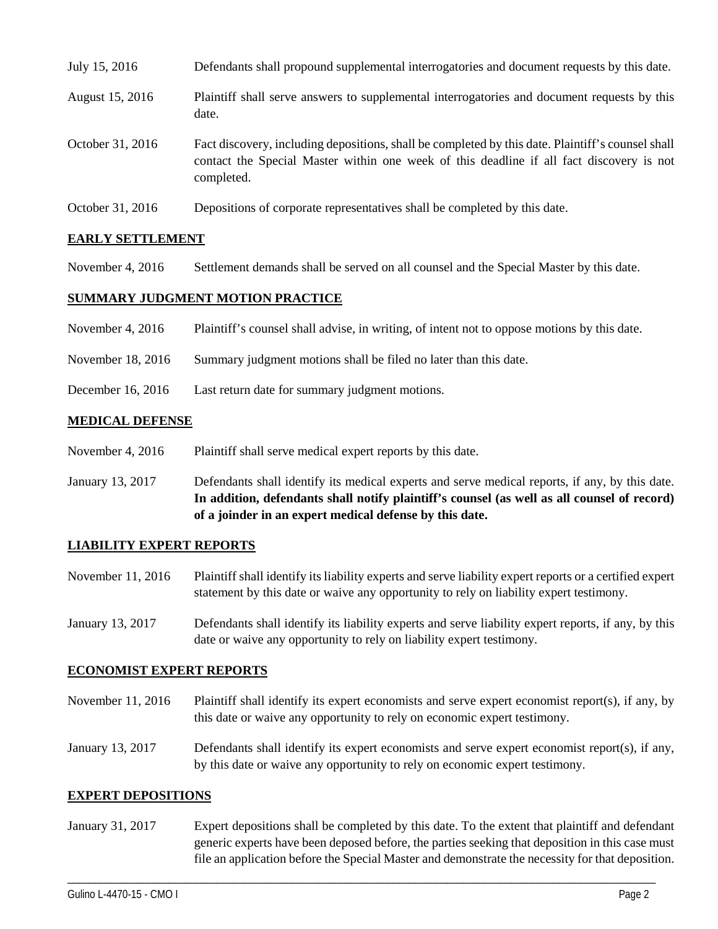| July 15, 2016    | Defendants shall propound supplemental interrogatories and document requests by this date.                                                                                                                  |
|------------------|-------------------------------------------------------------------------------------------------------------------------------------------------------------------------------------------------------------|
| August 15, 2016  | Plaintiff shall serve answers to supplemental interrogatories and document requests by this<br>date.                                                                                                        |
| October 31, 2016 | Fact discovery, including depositions, shall be completed by this date. Plaintiff's counsel shall<br>contact the Special Master within one week of this deadline if all fact discovery is not<br>completed. |
| October 31, 2016 | Depositions of corporate representatives shall be completed by this date.                                                                                                                                   |

## **EARLY SETTLEMENT**

November 4, 2016 Settlement demands shall be served on all counsel and the Special Master by this date.

#### **SUMMARY JUDGMENT MOTION PRACTICE**

| November 4, $2016$ | Plaintiff's counsel shall advise, in writing, of intent not to oppose motions by this date. |
|--------------------|---------------------------------------------------------------------------------------------|
| November 18, 2016  | Summary judgment motions shall be filed no later than this date.                            |

- 
- December 16, 2016 Last return date for summary judgment motions.

#### **MEDICAL DEFENSE**

- November 4, 2016 Plaintiff shall serve medical expert reports by this date.
- January 13, 2017 Defendants shall identify its medical experts and serve medical reports, if any, by this date. **In addition, defendants shall notify plaintiff's counsel (as well as all counsel of record) of a joinder in an expert medical defense by this date.**

## **LIABILITY EXPERT REPORTS**

- November 11, 2016 Plaintiff shall identify its liability experts and serve liability expert reports or a certified expert statement by this date or waive any opportunity to rely on liability expert testimony.
- January 13, 2017 Defendants shall identify its liability experts and serve liability expert reports, if any, by this date or waive any opportunity to rely on liability expert testimony.

## **ECONOMIST EXPERT REPORTS**

- November 11, 2016 Plaintiff shall identify its expert economists and serve expert economist report(s), if any, by this date or waive any opportunity to rely on economic expert testimony.
- January 13, 2017 Defendants shall identify its expert economists and serve expert economist report(s), if any, by this date or waive any opportunity to rely on economic expert testimony.

#### **EXPERT DEPOSITIONS**

January 31, 2017 Expert depositions shall be completed by this date. To the extent that plaintiff and defendant generic experts have been deposed before, the parties seeking that deposition in this case must file an application before the Special Master and demonstrate the necessity for that deposition.

\_\_\_\_\_\_\_\_\_\_\_\_\_\_\_\_\_\_\_\_\_\_\_\_\_\_\_\_\_\_\_\_\_\_\_\_\_\_\_\_\_\_\_\_\_\_\_\_\_\_\_\_\_\_\_\_\_\_\_\_\_\_\_\_\_\_\_\_\_\_\_\_\_\_\_\_\_\_\_\_\_\_\_\_\_\_\_\_\_\_\_\_\_\_\_\_\_\_\_\_\_\_\_\_\_\_\_\_\_\_